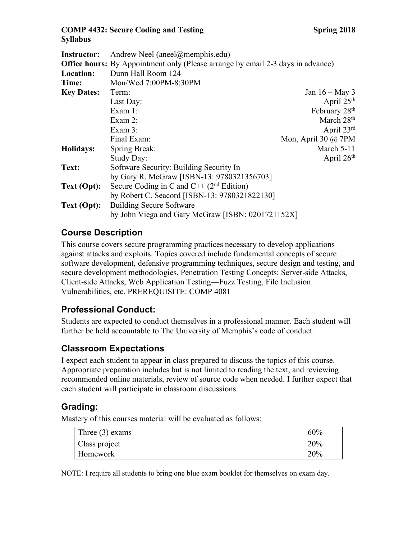#### **COMP 4432: Secure Coding and Testing Spring** 2018 **Syllabus**

| <b>Instructor:</b> | Andrew Neel (aneel@memphis.edu)                                                        |                           |
|--------------------|----------------------------------------------------------------------------------------|---------------------------|
|                    | <b>Office hours:</b> By Appointment only (Please arrange by email 2-3 days in advance) |                           |
| Location:          | Dunn Hall Room 124                                                                     |                           |
| Time:              | Mon/Wed 7:00PM-8:30PM                                                                  |                           |
| <b>Key Dates:</b>  | Term:                                                                                  | Jan $16 - May 3$          |
|                    | Last Day:                                                                              | April $25th$              |
|                    | Exam 1:                                                                                | February 28 <sup>th</sup> |
|                    | Exam $2$ :                                                                             | March 28 <sup>th</sup>    |
|                    | Exam $3$ :                                                                             | April 23rd                |
|                    | Final Exam:                                                                            | Mon, April 30 $@$ 7PM     |
| <b>Holidays:</b>   | Spring Break:                                                                          | March 5-11                |
|                    | Study Day:                                                                             | April $26th$              |
| Text:              | Software Security: Building Security In                                                |                           |
|                    | by Gary R. McGraw [ISBN-13: 9780321356703]                                             |                           |
| Text (Opt):        | Secure Coding in C and $C++$ (2 <sup>nd</sup> Edition)                                 |                           |
|                    | by Robert C. Seacord [ISBN-13: 9780321822130]                                          |                           |
| Text (Opt):        | <b>Building Secure Software</b>                                                        |                           |
|                    | by John Viega and Gary McGraw [ISBN: 0201721152X]                                      |                           |

## **Course Description**

This course covers secure programming practices necessary to develop applications against attacks and exploits. Topics covered include fundamental concepts of secure software development, defensive programming techniques, secure design and testing, and secure development methodologies. Penetration Testing Concepts: Server-side Attacks, Client-side Attacks, Web Application Testing—Fuzz Testing, File Inclusion Vulnerabilities, etc. PREREQUISITE: COMP 4081

### **Professional Conduct:**

Students are expected to conduct themselves in a professional manner. Each student will further be held accountable to The University of Memphis's code of conduct.

# **Classroom Expectations**

I expect each student to appear in class prepared to discuss the topics of this course. Appropriate preparation includes but is not limited to reading the text, and reviewing recommended online materials, review of source code when needed. I further expect that each student will participate in classroom discussions.

### **Grading:**

Mastery of this courses material will be evaluated as follows:

| Three $(3)$ exams | $60\%$ |
|-------------------|--------|
| Class project     | 20%    |
| Homework          | 20%    |

NOTE: I require all students to bring one blue exam booklet for themselves on exam day.